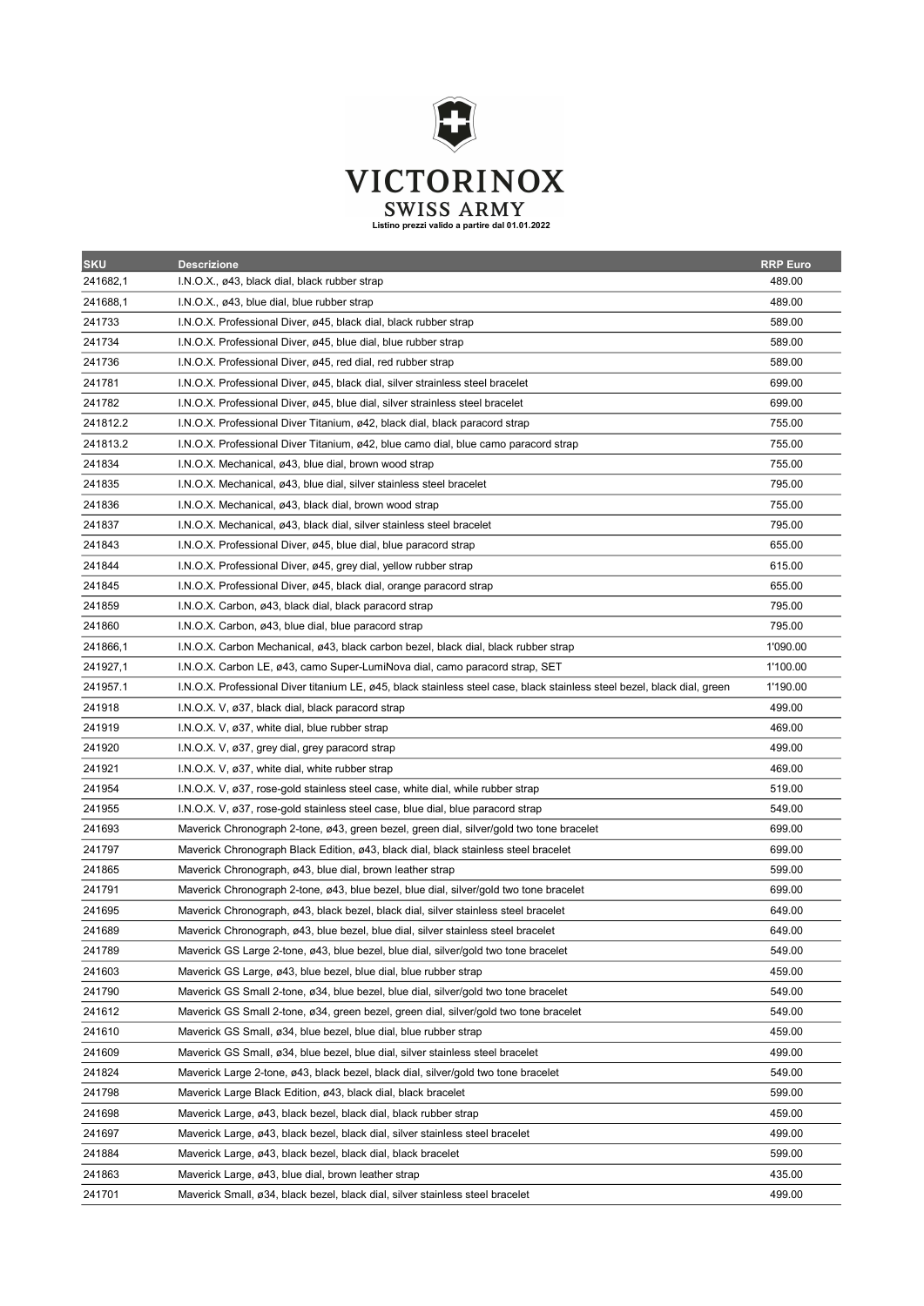

| <b>SKU</b> | <b>Descrizione</b>                                                                                                       | <b>RRP Euro</b> |
|------------|--------------------------------------------------------------------------------------------------------------------------|-----------------|
| 241682,1   | I.N.O.X., ø43, black dial, black rubber strap                                                                            | 489.00          |
| 241688,1   | $I.N.O.X., \varnothing$ 43, blue dial, blue rubber strap                                                                 | 489.00          |
| 241733     | I.N.O.X. Professional Diver, ø45, black dial, black rubber strap                                                         | 589.00          |
| 241734     | I.N.O.X. Professional Diver, ø45, blue dial, blue rubber strap                                                           | 589.00          |
| 241736     | I.N.O.X. Professional Diver, ø45, red dial, red rubber strap                                                             | 589.00          |
| 241781     | I.N.O.X. Professional Diver, ø45, black dial, silver strainless steel bracelet                                           | 699.00          |
| 241782     | I.N.O.X. Professional Diver, ø45, blue dial, silver strainless steel bracelet                                            | 699.00          |
| 241812.2   | I.N.O.X. Professional Diver Titanium, ø42, black dial, black paracord strap                                              | 755.00          |
| 241813.2   | I.N.O.X. Professional Diver Titanium, ø42, blue camo dial, blue camo paracord strap                                      | 755.00          |
| 241834     | I.N.O.X. Mechanical, ø43, blue dial, brown wood strap                                                                    | 755.00          |
| 241835     | I.N.O.X. Mechanical, ø43, blue dial, silver stainless steel bracelet                                                     | 795.00          |
| 241836     | I.N.O.X. Mechanical, ø43, black dial, brown wood strap                                                                   | 755.00          |
| 241837     | I.N.O.X. Mechanical, ø43, black dial, silver stainless steel bracelet                                                    | 795.00          |
| 241843     | I.N.O.X. Professional Diver, ø45, blue dial, blue paracord strap                                                         | 655.00          |
| 241844     | I.N.O.X. Professional Diver, ø45, grey dial, yellow rubber strap                                                         | 615.00          |
| 241845     | I.N.O.X. Professional Diver, ø45, black dial, orange paracord strap                                                      | 655.00          |
| 241859     | I.N.O.X. Carbon, ø43, black dial, black paracord strap                                                                   | 795.00          |
| 241860     | I.N.O.X. Carbon, ø43, blue dial, blue paracord strap                                                                     | 795.00          |
| 241866,1   | I.N.O.X. Carbon Mechanical, ø43, black carbon bezel, black dial, black rubber strap                                      | 1'090.00        |
| 241927,1   | I.N.O.X. Carbon LE, ø43, camo Super-LumiNova dial, camo paracord strap, SET                                              | 1'100.00        |
| 241957.1   | I.N.O.X. Professional Diver titanium LE, ø45, black stainless steel case, black stainless steel bezel, black dial, green | 1'190.00        |
| 241918     | I.N.O.X. V, ø37, black dial, black paracord strap                                                                        | 499.00          |
| 241919     | I.N.O.X. V, ø37, white dial, blue rubber strap                                                                           | 469.00          |
| 241920     | I.N.O.X. V, ø37, grey dial, grey paracord strap                                                                          | 499.00          |
| 241921     | I.N.O.X. V, ø37, white dial, white rubber strap                                                                          | 469.00          |
| 241954     | I.N.O.X. V, ø37, rose-gold stainless steel case, white dial, while rubber strap                                          | 519.00          |
| 241955     | I.N.O.X. V, ø37, rose-gold stainless steel case, blue dial, blue paracord strap                                          | 549.00          |
| 241693     | Maverick Chronograph 2-tone, ø43, green bezel, green dial, silver/gold two tone bracelet                                 | 699.00          |
| 241797     | Maverick Chronograph Black Edition, ø43, black dial, black stainless steel bracelet                                      | 699.00          |
| 241865     | Maverick Chronograph, ø43, blue dial, brown leather strap                                                                | 599.00          |
| 241791     | Maverick Chronograph 2-tone, ø43, blue bezel, blue dial, silver/gold two tone bracelet                                   | 699.00          |
| 241695     | Maverick Chronograph, ø43, black bezel, black dial, silver stainless steel bracelet                                      | 649.00          |
| 241689     | Maverick Chronograph, ø43, blue bezel, blue dial, silver stainless steel bracelet                                        | 649.00          |
| 241789     | Maverick GS Large 2-tone, ø43, blue bezel, blue dial, silver/gold two tone bracelet                                      | 549.00          |
| 241603     | Maverick GS Large, ø43, blue bezel, blue dial, blue rubber strap                                                         | 459.00          |
| 241790     | Maverick GS Small 2-tone, ø34, blue bezel, blue dial, silver/gold two tone bracelet                                      | 549.00          |
| 241612     | Maverick GS Small 2-tone, ø34, green bezel, green dial, silver/gold two tone bracelet                                    | 549.00          |
| 241610     | Maverick GS Small, ø34, blue bezel, blue dial, blue rubber strap                                                         | 459.00          |
| 241609     | Maverick GS Small, ø34, blue bezel, blue dial, silver stainless steel bracelet                                           | 499.00          |
| 241824     | Maverick Large 2-tone, ø43, black bezel, black dial, silver/gold two tone bracelet                                       | 549.00          |
| 241798     | Maverick Large Black Edition, ø43, black dial, black bracelet                                                            | 599.00          |
| 241698     | Maverick Large, ø43, black bezel, black dial, black rubber strap                                                         | 459.00          |
| 241697     | Maverick Large, ø43, black bezel, black dial, silver stainless steel bracelet                                            | 499.00          |
| 241884     | Maverick Large, ø43, black bezel, black dial, black bracelet                                                             | 599.00          |
| 241863     | Maverick Large, ø43, blue dial, brown leather strap                                                                      | 435.00          |
| 241701     | Maverick Small, ø34, black bezel, black dial, silver stainless steel bracelet                                            | 499.00          |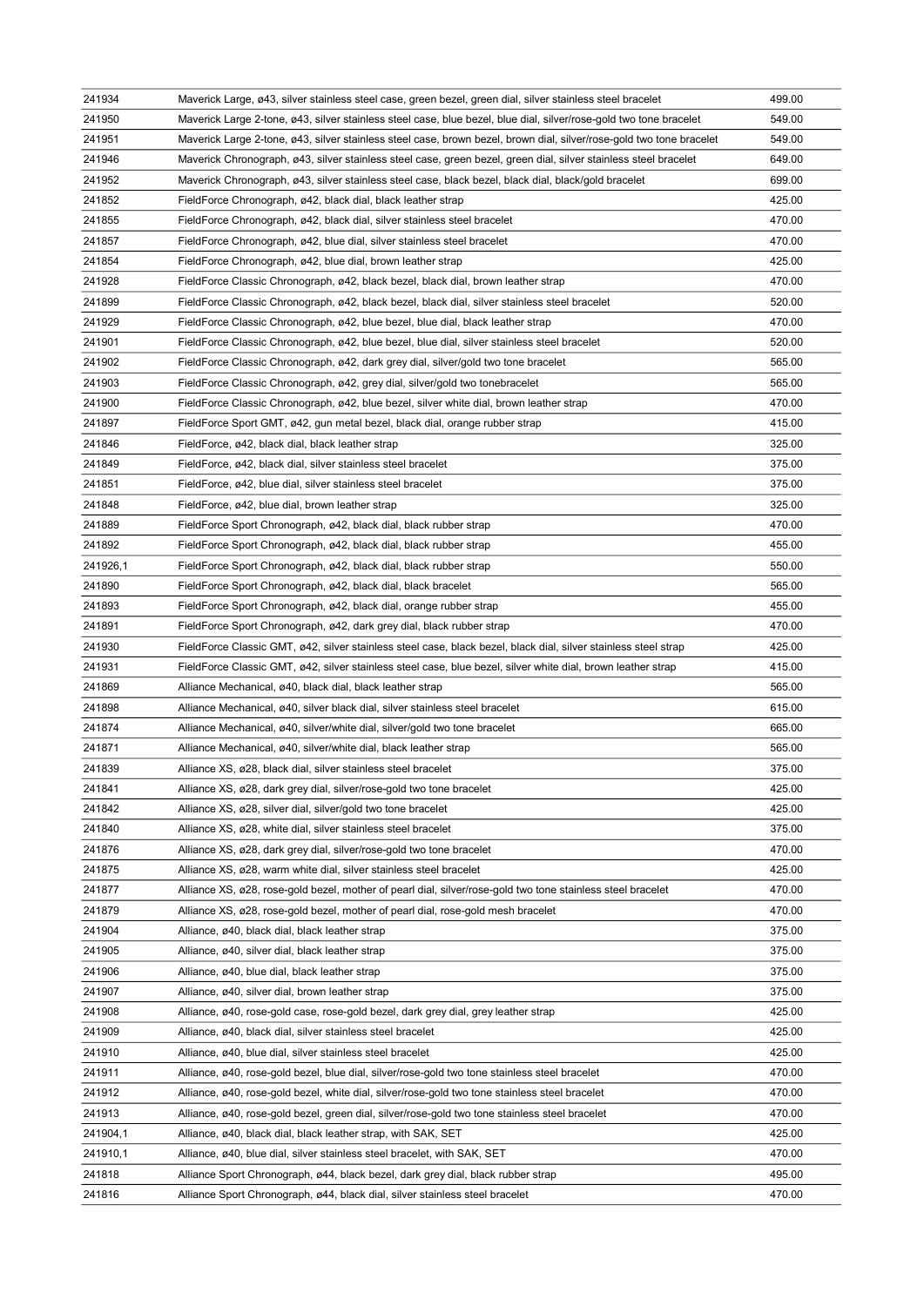| 241934   | Maverick Large, ø43, silver stainless steel case, green bezel, green dial, silver stainless steel bracelet           | 499.00 |
|----------|----------------------------------------------------------------------------------------------------------------------|--------|
| 241950   | Maverick Large 2-tone, ø43, silver stainless steel case, blue bezel, blue dial, silver/rose-gold two tone bracelet   | 549.00 |
| 241951   | Maverick Large 2-tone, ø43, silver stainless steel case, brown bezel, brown dial, silver/rose-gold two tone bracelet | 549.00 |
| 241946   | Maverick Chronograph, ø43, silver stainless steel case, green bezel, green dial, silver stainless steel bracelet     | 649.00 |
| 241952   | Maverick Chronograph, ø43, silver stainless steel case, black bezel, black dial, black/gold bracelet                 | 699.00 |
| 241852   | FieldForce Chronograph, ø42, black dial, black leather strap                                                         | 425.00 |
| 241855   | FieldForce Chronograph, ø42, black dial, silver stainless steel bracelet                                             | 470.00 |
| 241857   | FieldForce Chronograph, ø42, blue dial, silver stainless steel bracelet                                              | 470.00 |
| 241854   | FieldForce Chronograph, ø42, blue dial, brown leather strap                                                          | 425.00 |
| 241928   | FieldForce Classic Chronograph, ø42, black bezel, black dial, brown leather strap                                    | 470.00 |
| 241899   | FieldForce Classic Chronograph, ø42, black bezel, black dial, silver stainless steel bracelet                        | 520.00 |
| 241929   | FieldForce Classic Chronograph, ø42, blue bezel, blue dial, black leather strap                                      | 470.00 |
| 241901   | FieldForce Classic Chronograph, ø42, blue bezel, blue dial, silver stainless steel bracelet                          | 520.00 |
| 241902   | FieldForce Classic Chronograph, ø42, dark grey dial, silver/gold two tone bracelet                                   | 565.00 |
| 241903   | FieldForce Classic Chronograph, ø42, grey dial, silver/gold two tonebracelet                                         | 565.00 |
| 241900   | FieldForce Classic Chronograph, ø42, blue bezel, silver white dial, brown leather strap                              | 470.00 |
| 241897   | FieldForce Sport GMT, ø42, gun metal bezel, black dial, orange rubber strap                                          | 415.00 |
| 241846   | FieldForce, ø42, black dial, black leather strap                                                                     | 325.00 |
| 241849   | FieldForce, ø42, black dial, silver stainless steel bracelet                                                         | 375.00 |
| 241851   | FieldForce, ø42, blue dial, silver stainless steel bracelet                                                          | 375.00 |
| 241848   | FieldForce, ø42, blue dial, brown leather strap                                                                      | 325.00 |
| 241889   | FieldForce Sport Chronograph, ø42, black dial, black rubber strap                                                    | 470.00 |
| 241892   | FieldForce Sport Chronograph, ø42, black dial, black rubber strap                                                    | 455.00 |
| 241926,1 | FieldForce Sport Chronograph, ø42, black dial, black rubber strap                                                    | 550.00 |
| 241890   | FieldForce Sport Chronograph, ø42, black dial, black bracelet                                                        | 565.00 |
| 241893   | FieldForce Sport Chronograph, ø42, black dial, orange rubber strap                                                   | 455.00 |
| 241891   | FieldForce Sport Chronograph, ø42, dark grey dial, black rubber strap                                                | 470.00 |
| 241930   | FieldForce Classic GMT, ø42, silver stainless steel case, black bezel, black dial, silver stainless steel strap      | 425.00 |
| 241931   | FieldForce Classic GMT, ø42, silver stainless steel case, blue bezel, silver white dial, brown leather strap         | 415.00 |
| 241869   | Alliance Mechanical, ø40, black dial, black leather strap                                                            | 565.00 |
| 241898   | Alliance Mechanical, ø40, silver black dial, silver stainless steel bracelet                                         | 615.00 |
| 241874   | Alliance Mechanical, ø40, silver/white dial, silver/gold two tone bracelet                                           | 665.00 |
| 241871   | Alliance Mechanical, ø40, silver/white dial, black leather strap                                                     | 565.00 |
| 241839   | Alliance XS, ø28, black dial, silver stainless steel bracelet                                                        | 375.00 |
| 241841   | Alliance XS, ø28, dark grey dial, silver/rose-gold two tone bracelet                                                 | 425.00 |
| 241842   | Alliance XS, ø28, silver dial, silver/gold two tone bracelet                                                         | 425.00 |
| 241840   | Alliance XS, ø28, white dial, silver stainless steel bracelet                                                        | 375.00 |
| 241876   | Alliance XS, ø28, dark grey dial, silver/rose-gold two tone bracelet                                                 | 470.00 |
| 241875   | Alliance XS, ø28, warm white dial, silver stainless steel bracelet                                                   | 425.00 |
| 241877   |                                                                                                                      | 470.00 |
| 241879   | Alliance XS, ø28, rose-gold bezel, mother of pearl dial, silver/rose-gold two tone stainless steel bracelet          | 470.00 |
| 241904   | Alliance XS, ø28, rose-gold bezel, mother of pearl dial, rose-gold mesh bracelet                                     |        |
|          | Alliance, ø40, black dial, black leather strap                                                                       | 375.00 |
| 241905   | Alliance, ø40, silver dial, black leather strap                                                                      | 375.00 |
| 241906   | Alliance, ø40, blue dial, black leather strap                                                                        | 375.00 |
| 241907   | Alliance, ø40, silver dial, brown leather strap                                                                      | 375.00 |
| 241908   | Alliance, ø40, rose-gold case, rose-gold bezel, dark grey dial, grey leather strap                                   | 425.00 |
| 241909   | Alliance, ø40, black dial, silver stainless steel bracelet                                                           | 425.00 |
| 241910   | Alliance, ø40, blue dial, silver stainless steel bracelet                                                            | 425.00 |
| 241911   | Alliance, ø40, rose-gold bezel, blue dial, silver/rose-gold two tone stainless steel bracelet                        | 470.00 |
| 241912   | Alliance, ø40, rose-gold bezel, white dial, silver/rose-gold two tone stainless steel bracelet                       | 470.00 |
| 241913   | Alliance, ø40, rose-gold bezel, green dial, silver/rose-gold two tone stainless steel bracelet                       | 470.00 |
| 241904,1 | Alliance, ø40, black dial, black leather strap, with SAK, SET                                                        | 425.00 |
| 241910,1 | Alliance, ø40, blue dial, silver stainless steel bracelet, with SAK, SET                                             | 470.00 |
| 241818   | Alliance Sport Chronograph, ø44, black bezel, dark grey dial, black rubber strap                                     | 495.00 |
| 241816   | Alliance Sport Chronograph, ø44, black dial, silver stainless steel bracelet                                         | 470.00 |